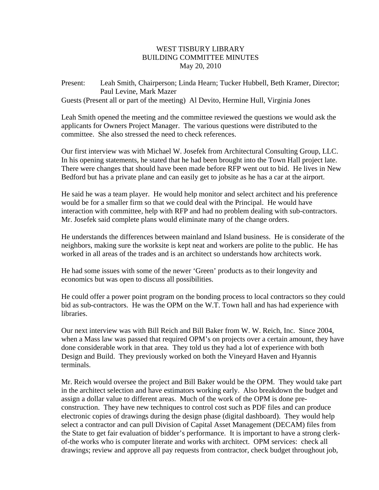## WEST TISBURY LIBRARY BUILDING COMMITTEE MINUTES May 20, 2010

## Present: Leah Smith, Chairperson; Linda Hearn; Tucker Hubbell, Beth Kramer, Director; Paul Levine, Mark Mazer Guests (Present all or part of the meeting) Al Devito, Hermine Hull, Virginia Jones

Leah Smith opened the meeting and the committee reviewed the questions we would ask the applicants for Owners Project Manager. The various questions were distributed to the committee. She also stressed the need to check references.

Our first interview was with Michael W. Josefek from Architectural Consulting Group, LLC. In his opening statements, he stated that he had been brought into the Town Hall project late. There were changes that should have been made before RFP went out to bid. He lives in New Bedford but has a private plane and can easily get to jobsite as he has a car at the airport.

He said he was a team player. He would help monitor and select architect and his preference would be for a smaller firm so that we could deal with the Principal. He would have interaction with committee, help with RFP and had no problem dealing with sub-contractors. Mr. Josefek said complete plans would eliminate many of the change orders.

He understands the differences between mainland and Island business. He is considerate of the neighbors, making sure the worksite is kept neat and workers are polite to the public. He has worked in all areas of the trades and is an architect so understands how architects work.

He had some issues with some of the newer 'Green' products as to their longevity and economics but was open to discuss all possibilities.

He could offer a power point program on the bonding process to local contractors so they could bid as sub-contractors. He was the OPM on the W.T. Town hall and has had experience with libraries.

Our next interview was with Bill Reich and Bill Baker from W. W. Reich, Inc. Since 2004, when a Mass law was passed that required OPM's on projects over a certain amount, they have done considerable work in that area. They told us they had a lot of experience with both Design and Build. They previously worked on both the Vineyard Haven and Hyannis terminals.

Mr. Reich would oversee the project and Bill Baker would be the OPM. They would take part in the architect selection and have estimators working early. Also breakdown the budget and assign a dollar value to different areas. Much of the work of the OPM is done preconstruction. They have new techniques to control cost such as PDF files and can produce electronic copies of drawings during the design phase (digital dashboard). They would help select a contractor and can pull Division of Capital Asset Management (DECAM) files from the State to get fair evaluation of bidder's performance. It is important to have a strong clerkof-the works who is computer literate and works with architect. OPM services: check all drawings; review and approve all pay requests from contractor, check budget throughout job,